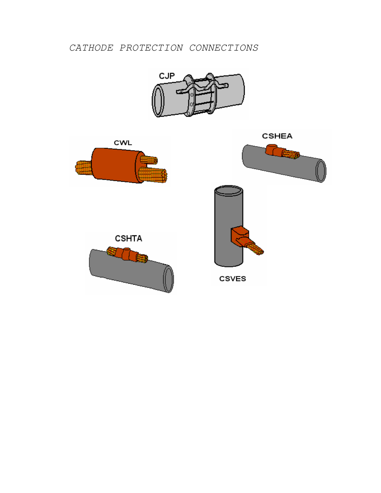*CATHODE PROTECTION CONNECTIONS*



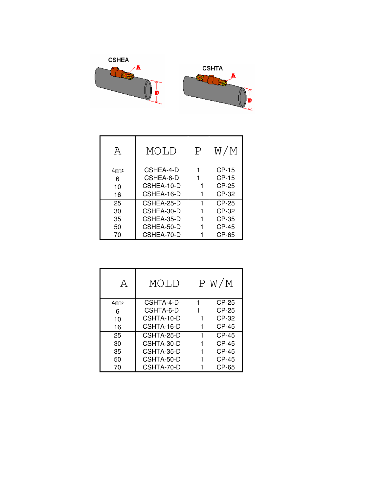

| A                   | MOLD       | $\mathbf P$ | W/M     |
|---------------------|------------|-------------|---------|
| $4$ mm <sub>2</sub> | CSHEA-4-D  |             | $CP-15$ |
| 6                   | CSHEA-6-D  |             | $CP-15$ |
| 10                  | CSHEA-10-D |             |         |
| 16                  | CSHEA-16-D |             | $CP-32$ |
| 25                  | CSHEA-25-D |             | $CP-25$ |
| 30                  | CSHEA-30-D |             | $CP-32$ |
| 35                  | CSHEA-35-D |             | CP-35   |
| 50                  | CSHEA-50-D |             |         |
| 70                  | CSHEA-70-D |             | CP-65   |

| A                   | MOLD       | P/W/M        |
|---------------------|------------|--------------|
| $4$ mm <sub>2</sub> | CSHTA-4-D  | $CP-25$      |
| 6                   | CSHTA-6-D  | $CP-25$      |
| 10                  | CSHTA-10-D | CP-32        |
| 16                  | CSHTA-16-D | $CP-45$      |
| 25                  | CSHTA-25-D | $CP-45$      |
| 30                  | CSHTA-30-D | $CP-45$      |
| 35                  | CSHTA-35-D | <b>CP-45</b> |
| 50                  | CSHTA-50-D | $CP-45$      |
| 70                  | CSHTA-70-D | CP-65        |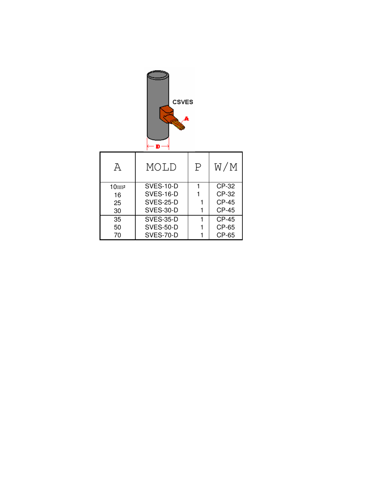| <b>CSVES</b><br>-F |                                |   |              |  |  |
|--------------------|--------------------------------|---|--------------|--|--|
| $\overline{A}$     | MOLD                           | P | W/M          |  |  |
| $10$ mm $2$        | <b>SVES-10-D</b>               | 1 | CP-32        |  |  |
| 16                 | SVES-16-D                      | 1 | CP-32        |  |  |
| 25                 | SVES-25-D<br><b>CP-45</b><br>1 |   |              |  |  |
| 30                 | <b>CP-45</b><br>SVES-30-D<br>1 |   |              |  |  |
| 35                 | <b>SVES-35-D</b>               | 1 | <b>CP-45</b> |  |  |
| 50                 | SVES-50-D                      | 1 | CP-65        |  |  |
| 70                 | SVES-70-D                      | 1 | CP-65        |  |  |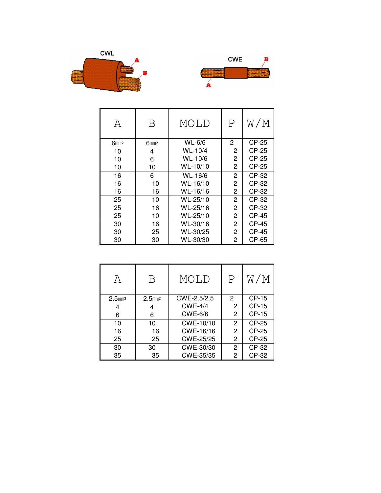



| А                   | Β         | MOLD     | $\mathbf P$    | W/M          |
|---------------------|-----------|----------|----------------|--------------|
| $6$ mm <sup>2</sup> | $6m$ $m2$ | WL-6/6   | 2              | <b>CP-25</b> |
| 10                  | 4         | WL-10/4  | 2              | CP-25        |
| 10                  | 6         | WL-10/6  | 2              | CP-25        |
| 10                  | 10        | WL-10/10 | 2              | <b>CP-25</b> |
| 16                  | 6         | WL-16/6  | $\overline{2}$ | CP-32        |
| 16                  | 10        | WL-16/10 | 2              | CP-32        |
| 16                  | 16        | WL-16/16 | 2              | CP-32        |
| 25                  | 10        | WL-25/10 | $\overline{2}$ | CP-32        |
| 25                  | 16        | WL-25/16 | 2              | CP-32        |
| 25                  | 10        | WL-25/10 | 2              | CP-45        |
| 30                  | 16        | WL-30/16 | $\overline{2}$ | <b>CP-45</b> |
| 30                  | 25        | WL-30/25 | 2              | CP-45        |
| 30                  | 30        | WL-30/30 | 2              | CP-65        |

| А            | Β            | MOLD           | P              | W/M     |
|--------------|--------------|----------------|----------------|---------|
| $2.5$ mm $2$ | $2.5$ mm $2$ | CWE-2.5/2.5    | $\mathcal{P}$  | CP-15   |
| 4            | 4            | $CWE-4/4$      | 2              | CP-15   |
| 6            | 6            | <b>CWE-6/6</b> | $\overline{c}$ | $CP-15$ |
| 10           | 10           | CWE-10/10      | 2              | CP-25   |
| 16           | 16           | CWE-16/16      | 2              | CP-25   |
| 25           | 25           | CWE-25/25      | 2              | CP-25   |
| 30           | 30           | CWE-30/30      | 2              | CP-32   |
| 35           | 35           | CWE-35/35      | 2              | CP-32   |